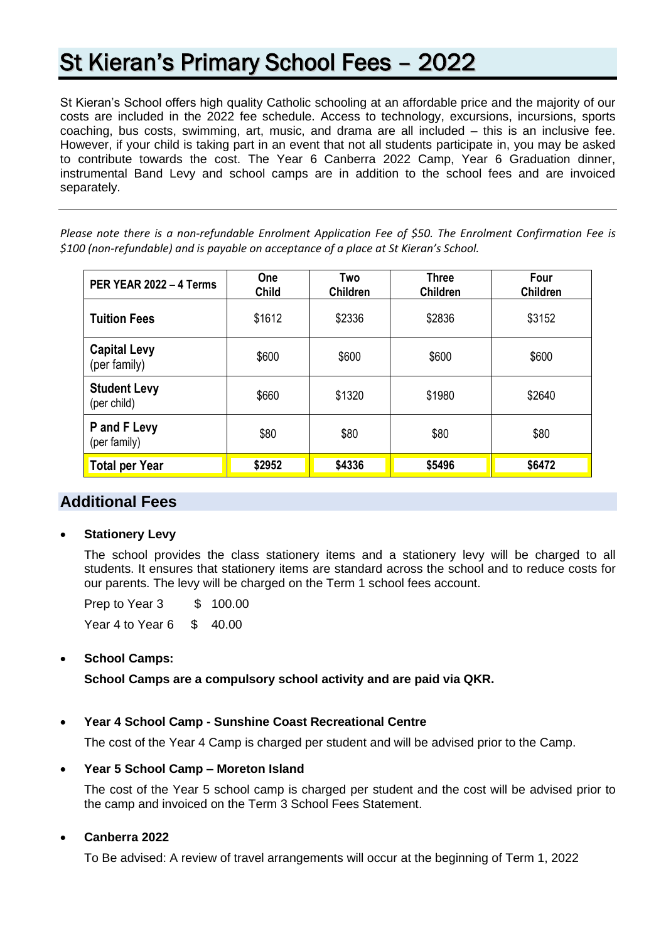# St Kieran's Primary School Fees – 2022

St Kieran's School offers high quality Catholic schooling at an affordable price and the majority of our costs are included in the 2022 fee schedule. Access to technology, excursions, incursions, sports coaching, bus costs, swimming, art, music, and drama are all included – this is an inclusive fee. However, if your child is taking part in an event that not all students participate in, you may be asked to contribute towards the cost. The Year 6 Canberra 2022 Camp, Year 6 Graduation dinner, instrumental Band Levy and school camps are in addition to the school fees and are invoiced separately.

*Please note there is a non-refundable Enrolment Application Fee of \$50. The Enrolment Confirmation Fee is \$100 (non-refundable) and is payable on acceptance of a place at St Kieran's School.*

| PER YEAR 2022 - 4 Terms             | One<br><b>Child</b> | Two<br><b>Children</b> | <b>Three</b><br><b>Children</b> | Four<br><b>Children</b> |
|-------------------------------------|---------------------|------------------------|---------------------------------|-------------------------|
| <b>Tuition Fees</b>                 | \$1612              | \$2336                 | \$2836                          | \$3152                  |
| <b>Capital Levy</b><br>(per family) | \$600               | \$600                  | \$600                           | \$600                   |
| <b>Student Levy</b><br>(per child)  | \$660               | \$1320                 | \$1980                          | \$2640                  |
| P and F Levy<br>(per family)        | \$80                | \$80                   | \$80                            | \$80                    |
| <b>Total per Year</b>               | \$2952              | \$4336                 | \$5496                          | \$6472                  |

## **Additional Fees**

#### **Stationery Levy**

The school provides the class stationery items and a stationery levy will be charged to all students. It ensures that stationery items are standard across the school and to reduce costs for our parents. The levy will be charged on the Term 1 school fees account.

Prep to Year 3 \$ 100.00

Year 4 to Year 6 \$ 40.00

#### • **School Camps:**

**School Camps are a compulsory school activity and are paid via QKR.**

#### • **Year 4 School Camp - Sunshine Coast Recreational Centre**

The cost of the Year 4 Camp is charged per student and will be advised prior to the Camp.

#### • **Year 5 School Camp – Moreton Island**

The cost of the Year 5 school camp is charged per student and the cost will be advised prior to the camp and invoiced on the Term 3 School Fees Statement.

#### • **Canberra 2022**

To Be advised: A review of travel arrangements will occur at the beginning of Term 1, 2022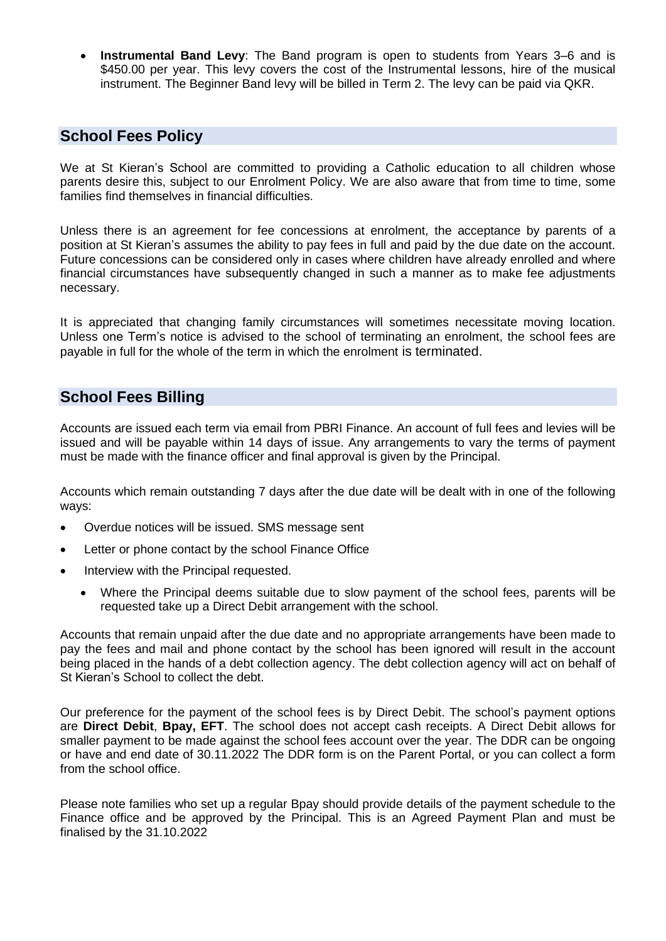**Instrumental Band Levy**: The Band program is open to students from Years 3–6 and is \$450.00 per year. This levy covers the cost of the Instrumental lessons, hire of the musical instrument. The Beginner Band levy will be billed in Term 2. The levy can be paid via QKR.

## **School Fees Policy**

We at St Kieran's School are committed to providing a Catholic education to all children whose parents desire this, subject to our Enrolment Policy. We are also aware that from time to time, some families find themselves in financial difficulties.

Unless there is an agreement for fee concessions at enrolment, the acceptance by parents of a position at St Kieran's assumes the ability to pay fees in full and paid by the due date on the account. Future concessions can be considered only in cases where children have already enrolled and where financial circumstances have subsequently changed in such a manner as to make fee adjustments necessary.

It is appreciated that changing family circumstances will sometimes necessitate moving location. Unless one Term's notice is advised to the school of terminating an enrolment, the school fees are payable in full for the whole of the term in which the enrolment is terminated.

## **School Fees Billing**

Accounts are issued each term via email from PBRI Finance. An account of full fees and levies will be issued and will be payable within 14 days of issue. Any arrangements to vary the terms of payment must be made with the finance officer and final approval is given by the Principal.

Accounts which remain outstanding 7 days after the due date will be dealt with in one of the following ways:

- Overdue notices will be issued. SMS message sent
- Letter or phone contact by the school Finance Office
- Interview with the Principal requested.
	- Where the Principal deems suitable due to slow payment of the school fees, parents will be requested take up a Direct Debit arrangement with the school.

Accounts that remain unpaid after the due date and no appropriate arrangements have been made to pay the fees and mail and phone contact by the school has been ignored will result in the account being placed in the hands of a debt collection agency. The debt collection agency will act on behalf of St Kieran's School to collect the debt.

Our preference for the payment of the school fees is by Direct Debit. The school's payment options are **Direct Debit**, **Bpay, EFT**. The school does not accept cash receipts. A Direct Debit allows for smaller payment to be made against the school fees account over the year. The DDR can be ongoing or have and end date of 30.11.2022 The DDR form is on the Parent Portal, or you can collect a form from the school office.

Please note families who set up a regular Bpay should provide details of the payment schedule to the Finance office and be approved by the Principal. This is an Agreed Payment Plan and must be finalised by the 31.10.2022